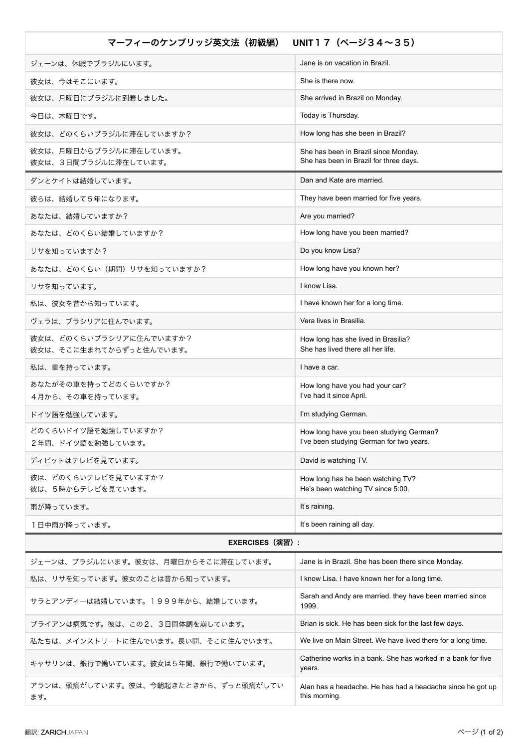| UNIT17 $(\sim -\frac{1}{2}34 \sim 35)$<br>マーフィーのケンブリッジ英文法(初級編) |                                                                                     |  |
|----------------------------------------------------------------|-------------------------------------------------------------------------------------|--|
| ジェーンは、休暇でブラジルにいます。                                             | Jane is on vacation in Brazil.                                                      |  |
| 彼女は、今はそこにいます。                                                  | She is there now.                                                                   |  |
| 彼女は、月曜日にブラジルに到着しました。                                           | She arrived in Brazil on Monday.                                                    |  |
| 今日は、木曜日です。                                                     | Today is Thursday.                                                                  |  |
| 彼女は、どのくらいブラジルに滞在していますか?                                        | How long has she been in Brazil?                                                    |  |
| 彼女は、月曜日からブラジルに滞在しています。<br>彼女は、3日間ブラジルに滞在しています。                 | She has been in Brazil since Monday.<br>She has been in Brazil for three days.      |  |
| ダンとケイトは結婚しています。                                                | Dan and Kate are married.                                                           |  |
| 彼らは、結婚して5年になります。                                               | They have been married for five years.                                              |  |
| あなたは、結婚していますか?                                                 | Are you married?                                                                    |  |
| あなたは、どのくらい結婚していますか?                                            | How long have you been married?                                                     |  |
| リサを知っていますか?                                                    | Do you know Lisa?                                                                   |  |
| あなたは、どのくらい(期間)リサを知っていますか?                                      | How long have you known her?                                                        |  |
| リサを知っています。                                                     | I know Lisa.                                                                        |  |
| 私は、彼女を昔から知っています。                                               | I have known her for a long time.                                                   |  |
| ヴェラは、ブラシリアに住んでいます。                                             | Vera lives in Brasilia.                                                             |  |
| 彼女は、どのくらいブラシリアに住んでいますか?<br>彼女は、そこに生まれてからずっと住んでいます。             | How long has she lived in Brasilia?<br>She has lived there all her life.            |  |
| 私は、車を持っています。                                                   | I have a car.                                                                       |  |
| あなたがその車を持ってどのくらいですか?<br>4月から、その車を持っています。                       | How long have you had your car?<br>I've had it since April.                         |  |
| ドイツ語を勉強しています。                                                  | I'm studying German.                                                                |  |
| どのくらいドイツ語を勉強していますか?<br>2年間、ドイツ語を勉強しています。                       | How long have you been studying German?<br>I've been studying German for two years. |  |
| ディビットはテレビを見ています。                                               | David is watching TV.                                                               |  |
| 彼は、どのくらいテレビを見ていますか?<br>彼は、5時からテレビを見ています。                       | How long has he been watching TV?<br>He's been watching TV since 5:00.              |  |
| 雨が降っています。                                                      | It's raining.                                                                       |  |
| 1日中雨が降っています。                                                   | It's been raining all day.                                                          |  |
| <b>EXERCISES (演習):</b>                                         |                                                                                     |  |
| ジェーンは、ブラジルにいます。彼女は、月曜日からそこに滞在しています。                            | Jane is in Brazil. She has been there since Monday.                                 |  |

| ジェーンは、ブラジルにいます。彼女は、月曜日からそこに滞在しています。         | Jane is in Brazil. She has been there since Monday.                         |
|---------------------------------------------|-----------------------------------------------------------------------------|
| 私は、リサを知っています。彼女のことは昔から知っています。               | I know Lisa. I have known her for a long time.                              |
| サラとアンディーは結婚しています。1999年から、結婚しています。           | Sarah and Andy are married, they have been married since<br>1999.           |
| ブライアンは病気です。彼は、この2、3日間体調を崩しています。             | Brian is sick. He has been sick for the last few days.                      |
| 私たちは、メインストリートに住んでいます。長い間、そこに住んでいます。         | We live on Main Street. We have lived there for a long time.                |
| キャサリンは、銀行で働いています。彼女は5年間、銀行で働いています。          | Catherine works in a bank. She has worked in a bank for five<br>years.      |
| アランは、頭痛がしています。彼は、今朝起きたときから、ずっと頭痛がしてい<br>ます。 | Alan has a headache. He has had a headache since he got up<br>this morning. |
|                                             |                                                                             |